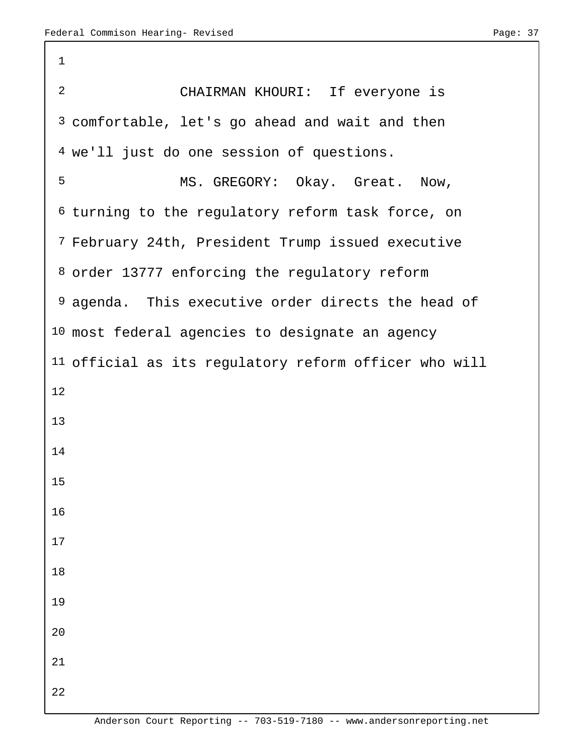| $\mathbf 1$    |                                                                  |
|----------------|------------------------------------------------------------------|
| $\overline{2}$ | CHAIRMAN KHOURI: If everyone is                                  |
|                | 3 comfortable, let's go ahead and wait and then                  |
|                | 4 we'll just do one session of questions.                        |
| 5              | MS. GREGORY: Okay. Great. Now,                                   |
|                | 6 turning to the regulatory reform task force, on                |
|                | 7 February 24th, President Trump issued executive                |
|                | 8 order 13777 enforcing the regulatory reform                    |
|                | 9 agenda. This executive order directs the head of               |
|                | 10 most federal agencies to designate an agency                  |
|                | <sup>11</sup> official as its regulatory reform officer who will |
| 12             |                                                                  |
| 13             |                                                                  |
| 14             |                                                                  |
| 15             |                                                                  |
| 16             |                                                                  |
| 17             |                                                                  |
| 18             |                                                                  |
| 19             |                                                                  |
| 20             |                                                                  |
| 21             |                                                                  |
| 22             |                                                                  |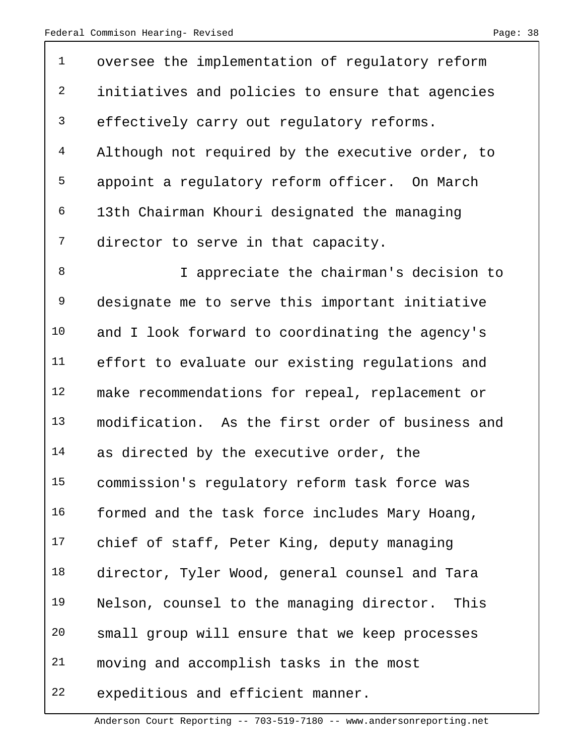1 oversee the implementation of regulatory reform 2 initiatives and policies to ensure that agencies 3 effectively carry out regulatory reforms. 4 Although not required by the executive order, to 5 appoint a regulatory reform officer. On March 6 13th Chairman Khouri designated the managing 7 director to serve in that capacity. 8 I appreciate the chairman's decision to 9 designate me to serve this important initiative 10 and I look forward to coordinating the agency's 11 effort to evaluate our existing regulations and 12 make recommendations for repeal, replacement or 13 modification. As the first order of business and 14 as directed by the executive order, the 15 commission's regulatory reform task force was 16 formed and the task force includes Mary Hoang, 17 chief of staff, Peter King, deputy managing 18 director, Tyler Wood, general counsel and Tara 19 Nelson, counsel to the managing director. This 20 small group will ensure that we keep processes 21 moving and accomplish tasks in the most 22 expeditious and efficient manner.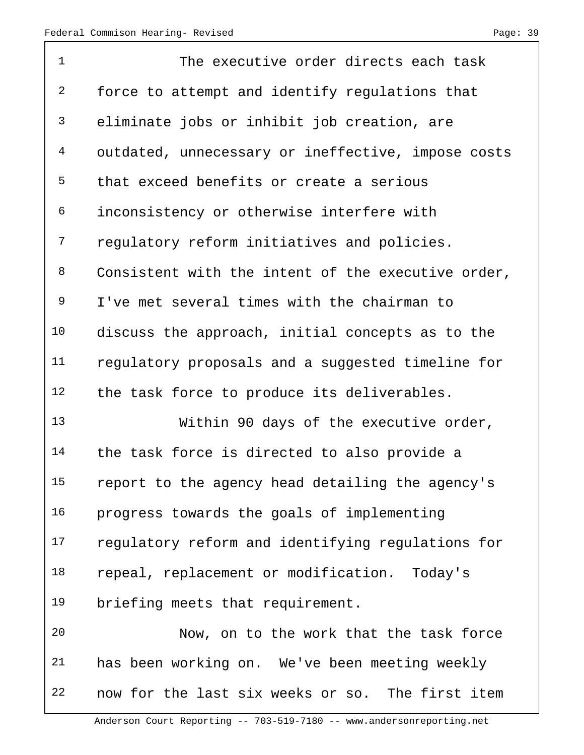| $\mathbf 1$ | The executive order directs each task              |
|-------------|----------------------------------------------------|
| 2           | force to attempt and identify regulations that     |
| 3           | eliminate jobs or inhibit job creation, are        |
| 4           | outdated, unnecessary or ineffective, impose costs |
| 5           | that exceed benefits or create a serious           |
| 6           | inconsistency or otherwise interfere with          |
| 7           | regulatory reform initiatives and policies.        |
| 8           | Consistent with the intent of the executive order, |
| 9           | I've met several times with the chairman to        |
| 10          | discuss the approach, initial concepts as to the   |
| 11          | regulatory proposals and a suggested timeline for  |
| 12          | the task force to produce its deliverables.        |
| 13          | Within 90 days of the executive order,             |
| 14          | the task force is directed to also provide a       |
| 15          | report to the agency head detailing the agency's   |
| 16          | progress towards the goals of implementing         |
| 17          | regulatory reform and identifying regulations for  |
| 18          | repeal, replacement or modification. Today's       |
| 19          | briefing meets that requirement.                   |
| 20          | Now, on to the work that the task force            |
| 21          | has been working on. We've been meeting weekly     |

22 now for the last six weeks or so. The first item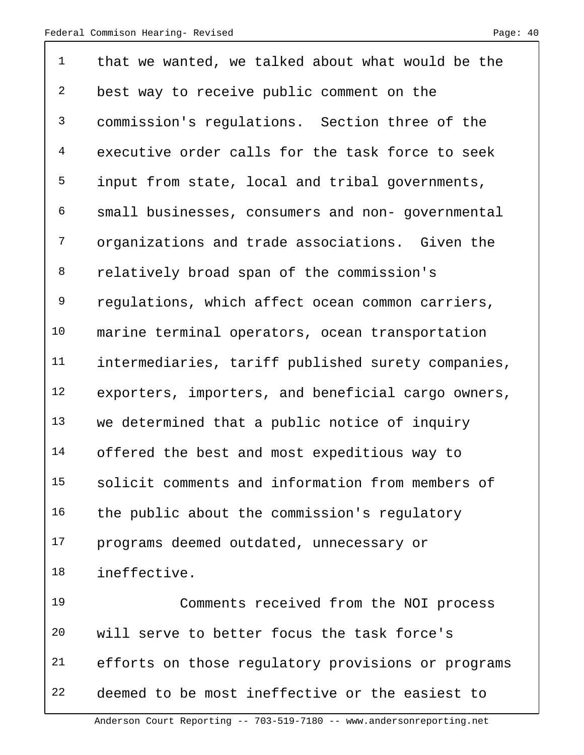| $\mathbf 1$    | that we wanted, we talked about what would be the  |
|----------------|----------------------------------------------------|
| $\overline{a}$ | best way to receive public comment on the          |
| $\mathsf{3}$   | commission's regulations. Section three of the     |
| $\overline{4}$ | executive order calls for the task force to seek   |
| 5              | input from state, local and tribal governments,    |
| 6              | small businesses, consumers and non- governmental  |
| 7              | organizations and trade associations. Given the    |
| 8              | relatively broad span of the commission's          |
| 9              | regulations, which affect ocean common carriers,   |
| 10             | marine terminal operators, ocean transportation    |
| 11             | intermediaries, tariff published surety companies, |
| 12             | exporters, importers, and beneficial cargo owners, |
| 13             | we determined that a public notice of inquiry      |
| 14             | offered the best and most expeditious way to       |
| 15             | solicit comments and information from members of   |
| 16             | the public about the commission's regulatory       |
| 17             | programs deemed outdated, unnecessary or           |
| 18             | ineffective.                                       |
| 19             | Comments received from the NOI process             |
| 20             | will serve to better focus the task force's        |
| 21             | efforts on those regulatory provisions or programs |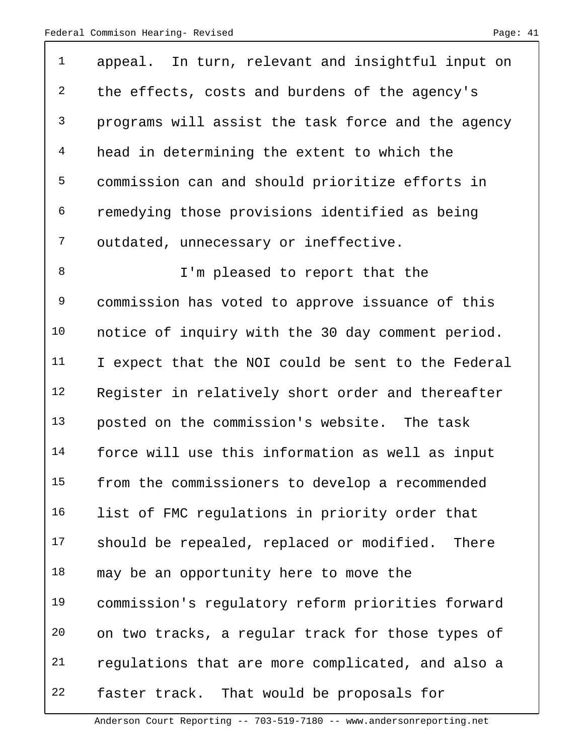| $\mathbf 1$    | appeal. In turn, relevant and insightful input on  |
|----------------|----------------------------------------------------|
| $\overline{2}$ | the effects, costs and burdens of the agency's     |
| 3              | programs will assist the task force and the agency |
| 4              | head in determining the extent to which the        |
| 5              | commission can and should prioritize efforts in    |
| 6              | remedying those provisions identified as being     |
| 7              | outdated, unnecessary or ineffective.              |
| 8              | I'm pleased to report that the                     |
| 9              | commission has voted to approve issuance of this   |
| 10             | notice of inquiry with the 30 day comment period.  |
| 11             | I expect that the NOI could be sent to the Federal |
| 12             | Register in relatively short order and thereafter  |
| 13             | posted on the commission's website. The task       |
| 14             | force will use this information as well as input   |
| 15             | from the commissioners to develop a recommended    |
| 16             | list of FMC regulations in priority order that     |
| 17             | should be repealed, replaced or modified. There    |
| 18             | may be an opportunity here to move the             |
| 19             | commission's regulatory reform priorities forward  |
| 20             | on two tracks, a regular track for those types of  |
| 21             | regulations that are more complicated, and also a  |
| 22             | faster track. That would be proposals for          |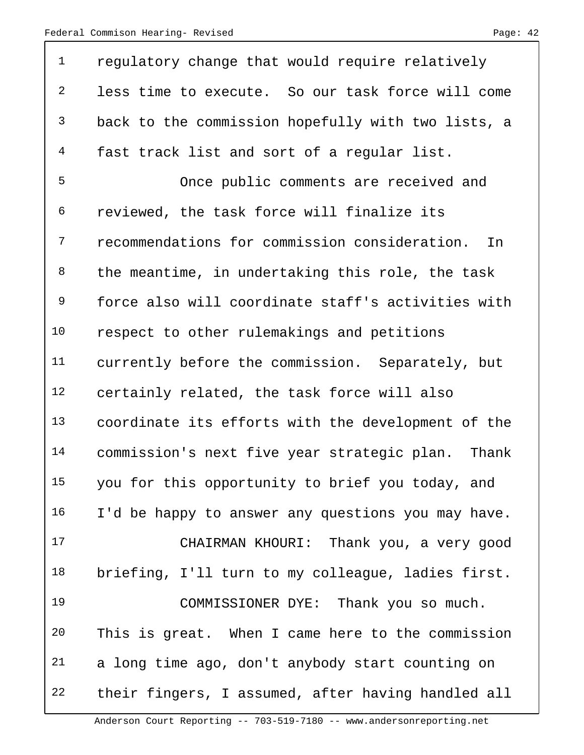| $\mathbf 1$    | regulatory change that would require relatively     |
|----------------|-----------------------------------------------------|
| $\overline{2}$ | less time to execute. So our task force will come   |
| 3              | back to the commission hopefully with two lists, a  |
| 4              | fast track list and sort of a regular list.         |
| 5              | Once public comments are received and               |
| 6              | reviewed, the task force will finalize its          |
| 7              | recommendations for commission consideration.<br>In |
| 8              | the meantime, in undertaking this role, the task    |
| 9              | force also will coordinate staff's activities with  |
| 10             | respect to other rulemakings and petitions          |
| 11             | currently before the commission. Separately, but    |
| 12             | certainly related, the task force will also         |
| 13             | coordinate its efforts with the development of the  |
| 14             | commission's next five year strategic plan. Thank   |
| 15             | you for this opportunity to brief you today, and    |
| 16             | I'd be happy to answer any questions you may have.  |
| 17             | CHAIRMAN KHOURI: Thank you, a very good             |
| 18             | briefing, I'll turn to my colleague, ladies first.  |
| 19             | COMMISSIONER DYE: Thank you so much.                |
| 20             | This is great. When I came here to the commission   |
| 21             | a long time ago, don't anybody start counting on    |
| 22             | their fingers, I assumed, after having handled all  |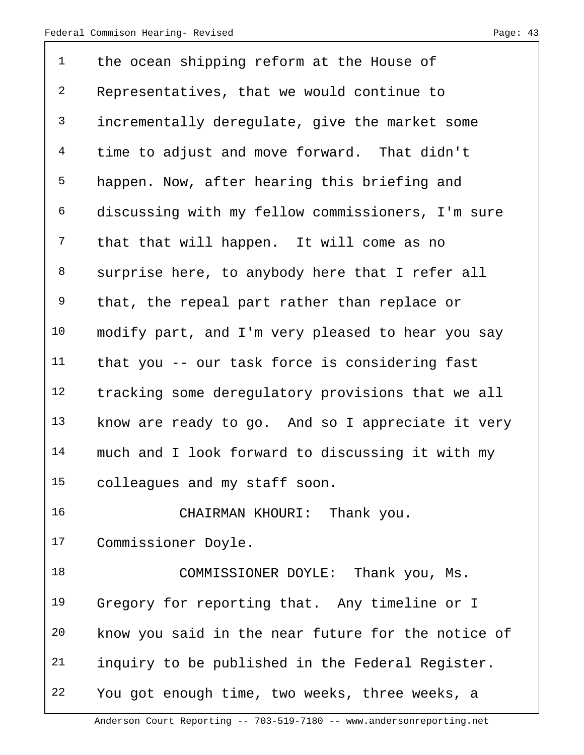1 the ocean shipping reform at the House of 2 Representatives, that we would continue to 3 incrementally deregulate, give the market some 4 time to adjust and move forward. That didn't 5 happen. Now, after hearing this briefing and 6 discussing with my fellow commissioners, I'm sure 7 that that will happen. It will come as no 8 surprise here, to anybody here that I refer all 9 that, the repeal part rather than replace or 10 modify part, and I'm very pleased to hear you say 11 that you -- our task force is considering fast 12 tracking some deregulatory provisions that we all 13 know are ready to go. And so I appreciate it very 14 much and I look forward to discussing it with my 15 colleagues and my staff soon. 16 CHAIRMAN KHOURI: Thank you. 17 Commissioner Doyle. 18 COMMISSIONER DOYLE: Thank you, Ms. 19 Gregory for reporting that. Any timeline or I

20 know you said in the near future for the notice of

21 inquiry to be published in the Federal Register.

22 You got enough time, two weeks, three weeks, a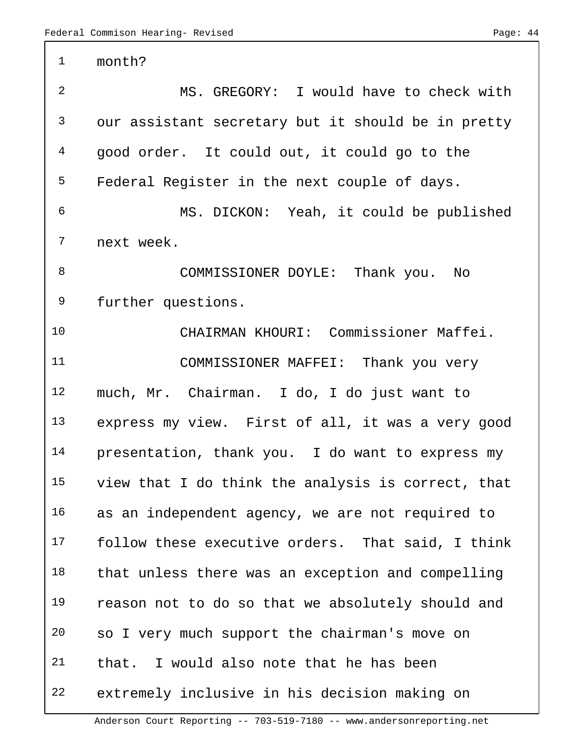1 month? 2 MS. GREGORY: I would have to check with 3 our assistant secretary but it should be in pretty 4 good order. It could out, it could go to the 5 Federal Register in the next couple of days. 6 MS. DICKON: Yeah, it could be published 7 next week. 8 COMMISSIONER DOYLE: Thank you. No 9 further questions. 10 CHAIRMAN KHOURI: Commissioner Maffei. 11 COMMISSIONER MAFFEI: Thank you very 12 much, Mr. Chairman. I do, I do just want to 13 express my view. First of all, it was a very good 14 presentation, thank you. I do want to express my 15 view that I do think the analysis is correct, that 16 as an independent agency, we are not required to 17 follow these executive orders. That said, I think 18 that unless there was an exception and compelling 19 reason not to do so that we absolutely should and 20 so I very much support the chairman's move on 21 that. I would also note that he has been 22 extremely inclusive in his decision making on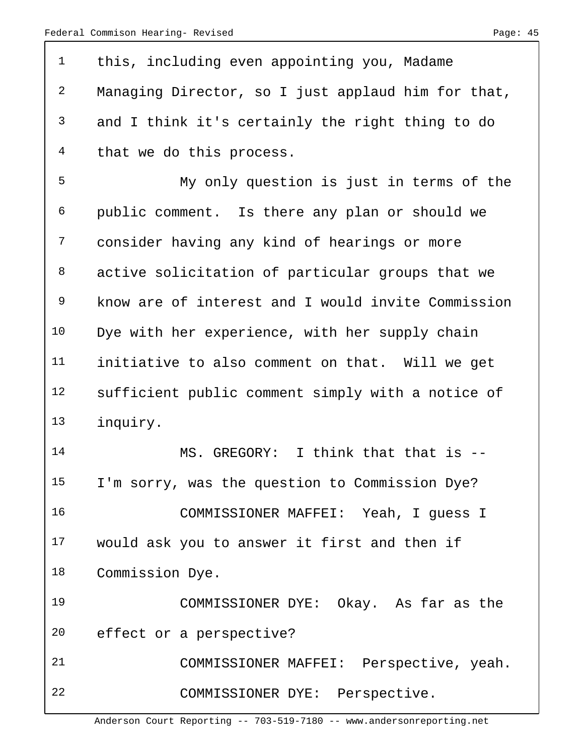| $\mathbf 1$    | this, including even appointing you, Madame        |
|----------------|----------------------------------------------------|
| $\overline{a}$ | Managing Director, so I just applaud him for that, |
| 3              | and I think it's certainly the right thing to do   |
| 4              | that we do this process.                           |
| 5              | My only question is just in terms of the           |
| 6              | public comment. Is there any plan or should we     |
| 7              | consider having any kind of hearings or more       |
| 8              | active solicitation of particular groups that we   |
| 9              | know are of interest and I would invite Commission |
| 10             | Dye with her experience, with her supply chain     |
| 11             | initiative to also comment on that. Will we get    |
| 12             | sufficient public comment simply with a notice of  |
| 13             | inquiry.                                           |
| 14             | MS. GREGORY: I think that that is --               |
| 15             | I'm sorry, was the question to Commission Dye?     |
| 16             | COMMISSIONER MAFFEI: Yeah, I guess I               |
| 17             | would ask you to answer it first and then if       |
| 18             | Commission Dye.                                    |
| 19             | COMMISSIONER DYE: Okay. As far as the              |
| 20             | effect or a perspective?                           |
| 21             | COMMISSIONER MAFFEI: Perspective, yeah.            |
| 22             | COMMISSIONER DYE: Perspective.                     |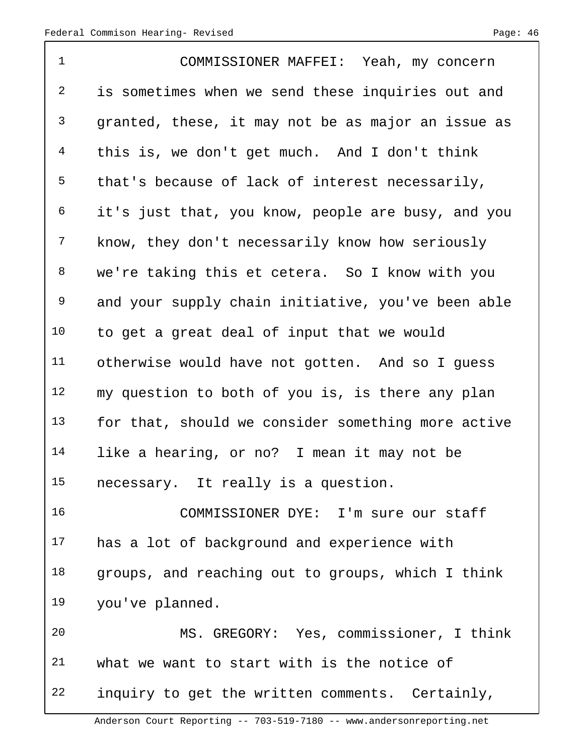| $\mathbf{1}$   | COMMISSIONER MAFFEI: Yeah, my concern              |
|----------------|----------------------------------------------------|
| 2              | is sometimes when we send these inquiries out and  |
| $\mathsf{3}$   | granted, these, it may not be as major an issue as |
| $\overline{4}$ | this is, we don't get much. And I don't think      |
| 5              | that's because of lack of interest necessarily,    |
| 6              | it's just that, you know, people are busy, and you |
| $\overline{7}$ | know, they don't necessarily know how seriously    |
| 8              | we're taking this et cetera. So I know with you    |
| $\mathsf 9$    | and your supply chain initiative, you've been able |
| 10             | to get a great deal of input that we would         |
| 11             | otherwise would have not gotten. And so I guess    |
| 12             | my question to both of you is, is there any plan   |
| 13             | for that, should we consider something more active |
| 14             | like a hearing, or no? I mean it may not be        |
| 15             | necessary. It really is a question.                |
| 16             | COMMISSIONER DYE: I'm sure our staff               |
| 17             | has a lot of background and experience with        |
| 18             | groups, and reaching out to groups, which I think  |
| 19             | you've planned.                                    |
| 20             | MS. GREGORY: Yes, commissioner, I think            |
| 21             | what we want to start with is the notice of        |
| 22             | inquiry to get the written comments. Certainly,    |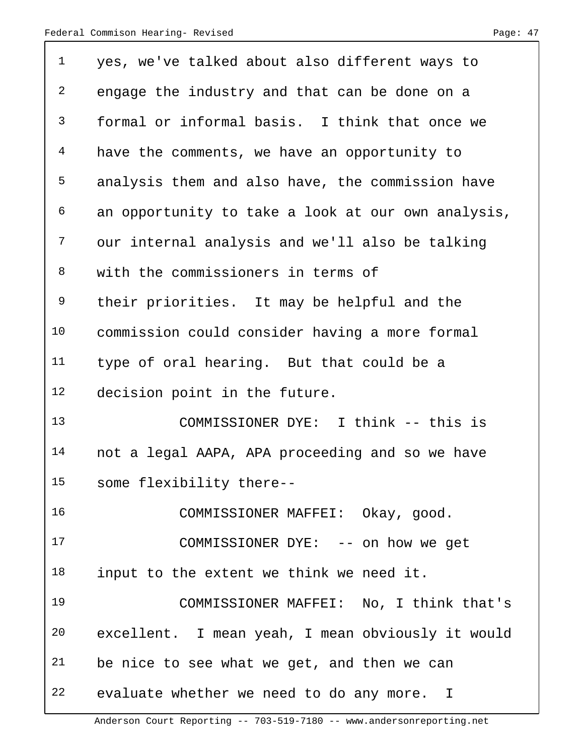| $\mathbf 1$    | yes, we've talked about also different ways to     |
|----------------|----------------------------------------------------|
| $\overline{a}$ | engage the industry and that can be done on a      |
| 3              | formal or informal basis. I think that once we     |
| 4              | have the comments, we have an opportunity to       |
| 5              | analysis them and also have, the commission have   |
| 6              | an opportunity to take a look at our own analysis, |
| 7              | our internal analysis and we'll also be talking    |
| 8              | with the commissioners in terms of                 |
| 9              | their priorities. It may be helpful and the        |
| 10             | commission could consider having a more formal     |
| 11             | type of oral hearing. But that could be a          |
|                |                                                    |
| 12             | decision point in the future.                      |
| 13             | COMMISSIONER DYE: I think -- this is               |
| 14             | not a legal AAPA, APA proceeding and so we have    |
| 15             | some flexibility there--                           |
| 16             | COMMISSIONER MAFFEI: Okay, good.                   |
| 17             | COMMISSIONER DYE: -- on how we get                 |
| 18             | input to the extent we think we need it.           |
| 19             | COMMISSIONER MAFFEI: No, I think that's            |
| 20             | excellent. I mean yeah, I mean obviously it would  |
| 21             | be nice to see what we get, and then we can        |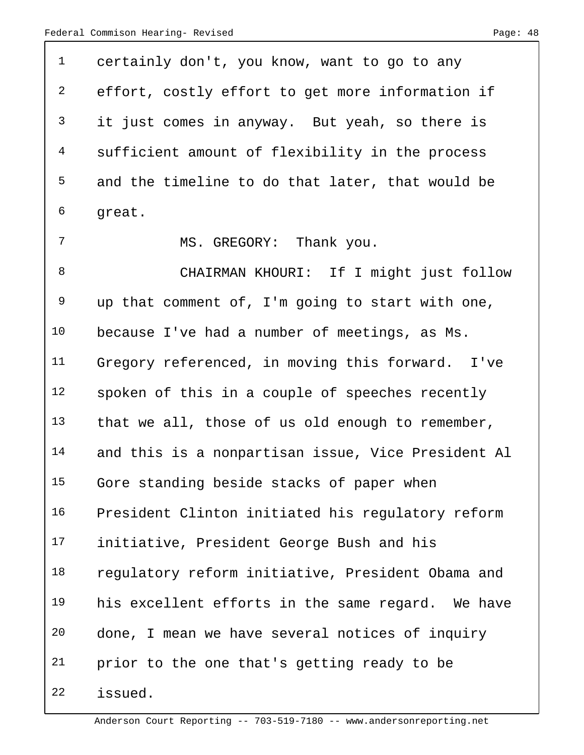| $\mathbf{1}$   | certainly don't, you know, want to go to any       |
|----------------|----------------------------------------------------|
| $\overline{2}$ | effort, costly effort to get more information if   |
| 3              | it just comes in anyway. But yeah, so there is     |
| 4              | sufficient amount of flexibility in the process    |
| 5              | and the timeline to do that later, that would be   |
| 6              | great.                                             |
| 7              | MS. GREGORY: Thank you.                            |
| 8              | CHAIRMAN KHOURI: If I might just follow            |
| 9              | up that comment of, I'm going to start with one,   |
| 10             | because I've had a number of meetings, as Ms.      |
| 11             | Gregory referenced, in moving this forward. I've   |
| 12             | spoken of this in a couple of speeches recently    |
| 13             | that we all, those of us old enough to remember,   |
| 14             | and this is a nonpartisan issue, Vice President Al |
| 15             | Gore standing beside stacks of paper when          |
| 16             | President Clinton initiated his regulatory reform  |
| 17             | initiative, President George Bush and his          |
| 18             | regulatory reform initiative, President Obama and  |
| 19             | his excellent efforts in the same regard. We have  |
| 20             | done, I mean we have several notices of inquiry    |
| 21             | prior to the one that's getting ready to be        |
| 22             | issued.                                            |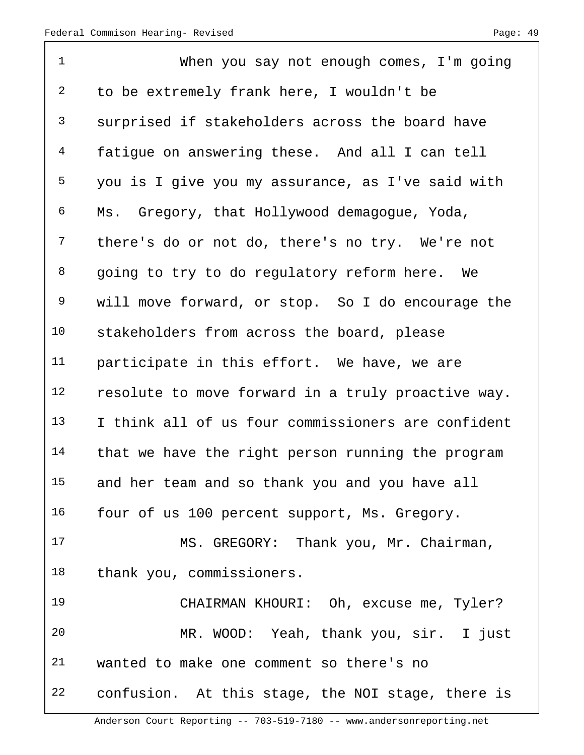1 When you say not enough comes, I'm going 2 to be extremely frank here, I wouldn't be 3 surprised if stakeholders across the board have 4 fatigue on answering these. And all I can tell 5 you is I give you my assurance, as I've said with 6 Ms. Gregory, that Hollywood demagogue, Yoda, 7 there's do or not do, there's no try. We're not 8 going to try to do regulatory reform here. We 9 will move forward, or stop. So I do encourage the 10 stakeholders from across the board, please 11 participate in this effort. We have, we are 12 resolute to move forward in a truly proactive way. 13 I think all of us four commissioners are confident 14 that we have the right person running the program 15 and her team and so thank you and you have all 16 four of us 100 percent support, Ms. Gregory. 17 MS. GREGORY: Thank you, Mr. Chairman, 18 thank you, commissioners. 19 CHAIRMAN KHOURI: Oh, excuse me, Tyler? 20 MR. WOOD: Yeah, thank you, sir. I just 21 wanted to make one comment so there's no 22 confusion. At this stage, the NOI stage, there is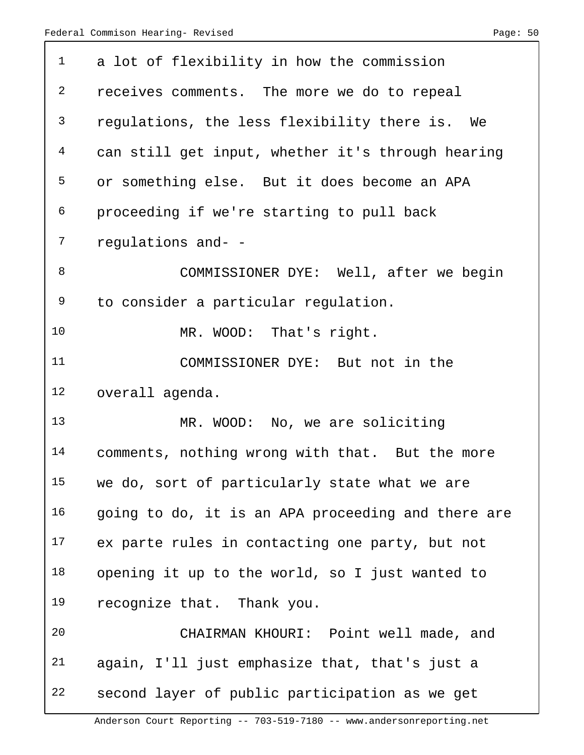| $\mathbf{1}$ | a lot of flexibility in how the commission         |
|--------------|----------------------------------------------------|
| 2            | receives comments. The more we do to repeal        |
| 3            | regulations, the less flexibility there is. We     |
| 4            | can still get input, whether it's through hearing  |
| 5            | or something else. But it does become an APA       |
| 6            | proceeding if we're starting to pull back          |
| 7            | regulations and- -                                 |
| 8            | COMMISSIONER DYE: Well, after we begin             |
| 9            | to consider a particular regulation.               |
| 10           | MR. WOOD: That's right.                            |
| 11           | COMMISSIONER DYE: But not in the                   |
| 12           |                                                    |
|              | overall agenda.                                    |
| 13           | MR. WOOD: No, we are soliciting                    |
| 14           | comments, nothing wrong with that. But the more    |
| 15           | we do, sort of particularly state what we are      |
| 16           | going to do, it is an APA proceeding and there are |
| 17           | ex parte rules in contacting one party, but not    |
| 18           | opening it up to the world, so I just wanted to    |
| 19           | recognize that. Thank you.                         |
| 20           | CHAIRMAN KHOURI: Point well made, and              |
| 21           | again, I'll just emphasize that, that's just a     |